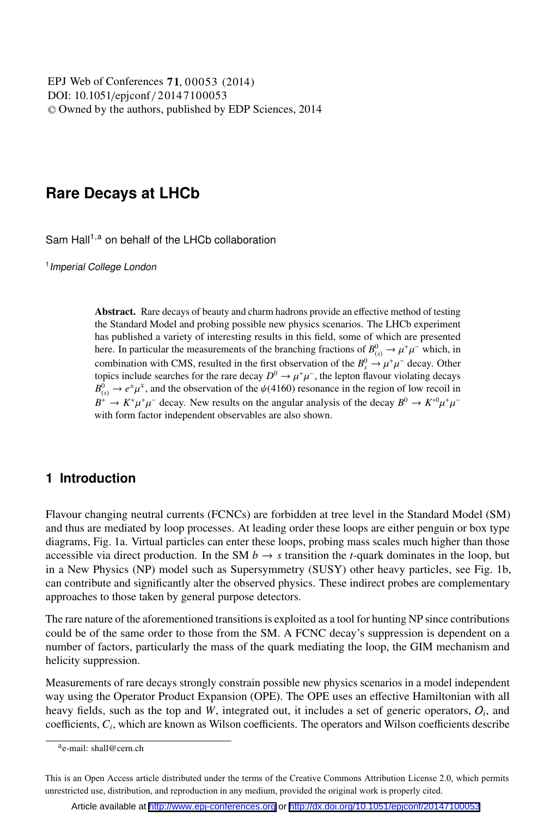DOI: 10.1051/epjconf / 20147100053 -<sup>C</sup> Owned by the authors, published by EDP Sciences, 2014 , 00053 (2014) EPJ Web of Conferences **71**

# **Rare Decays at LHCb**

Sam Hall<sup>1,a</sup> on behalf of the LHCb collaboration

<sup>1</sup> Imperial College London

Abstract. Rare decays of beauty and charm hadrons provide an effective method of testing the Standard Model and probing possible new physics scenarios. The LHCb experiment has published a variety of interesting results in this field, some of which are presented here. In particular the measurements of the branching fractions of  $B_{(s)}^0 \to \mu^+\mu^-$  which, in combination with CMS, resulted in the first observation of the  $B_s^0 \rightarrow \mu^+\mu^-$  decay. Other topics include searches for the rare decay  $D^0 \to \mu^+\mu^-$ , the lepton flavour violating decays  $B_{(s)}^0 \to e^{\pm} \mu^{\mp}$ , and the observation of the  $\psi$ (4160) resonance in the region of low recoil in  $B^+ \to K^+ \mu^+ \mu^-$  decay. New results on the angular analysis of the decay  $B^0 \to K^{*0} \mu^+ \mu^$ with form factor independent observables are also shown.

# **1 Introduction**

Flavour changing neutral currents (FCNCs) are forbidden at tree level in the Standard Model (SM) and thus are mediated by loop processes. At leading order these loops are either penguin or box type diagrams, Fig. 1a. Virtual particles can enter these loops, probing mass scales much higher than those accessible via direct production. In the SM  $b \rightarrow s$  transition the *t*-quark dominates in the loop, but in a New Physics (NP) model such as Supersymmetry (SUSY) other heavy particles, see Fig. 1b, can contribute and significantly alter the observed physics. These indirect probes are complementary approaches to those taken by general purpose detectors.

The rare nature of the aforementioned transitions is exploited as a tool for hunting NP since contributions could be of the same order to those from the SM. A FCNC decay's suppression is dependent on a number of factors, particularly the mass of the quark mediating the loop, the GIM mechanism and helicity suppression.

Measurements of rare decays strongly constrain possible new physics scenarios in a model independent way using the Operator Product Expansion (OPE). The OPE uses an effective Hamiltonian with all heavy fields, such as the top and *<sup>W</sup>*, integrated out, it includes a set of generic operators, <sup>O</sup>*<sup>i</sup>*, and coefficients, *Ci*, which are known as Wilson coefficients. The operators and Wilson coefficients describe

ae-mail: shall@cern.ch

This is an Open Access article distributed under the terms of the Creative Commons Attribution License 2.0, which permits unrestricted use, distribution, and reproduction in any medium, provided the original work is properly cited.

Article available at <http://www.epj-conferences.org> or <http://dx.doi.org/10.1051/epjconf/20147100053>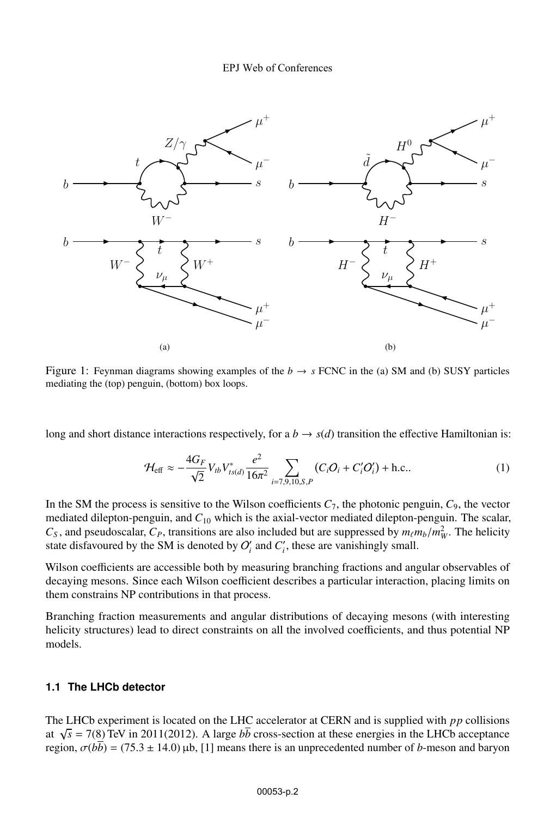

Figure 1: Feynman diagrams showing examples of the  $b \rightarrow s$  FCNC in the (a) SM and (b) SUSY particles mediating the (top) penguin, (bottom) box loops.

long and short distance interactions respectively, for a  $b \rightarrow s(d)$  transition the effective Hamiltonian is:

$$
\mathcal{H}_{\text{eff}} \approx -\frac{4G_F}{\sqrt{2}} V_{tb} V_{ts(d)}^* \frac{e^2}{16\pi^2} \sum_{i=7,9,10,S,P} (C_i O_i + C_i O_i') + \text{h.c.}.
$$
 (1)

In the SM the process is sensitive to the Wilson coefficients  $C_7$ , the photonic penguin,  $C_9$ , the vector mediated dilepton-penguin, and *C*<sup>10</sup> which is the axial-vector mediated dilepton-penguin. The scalar,  $C_S$ , and pseudoscalar,  $C_P$ , transitions are also included but are suppressed by  $m_\ell m_b/m_W^2$ . The helicity state disfavoured by the SM is denoted by  $O_i'$  and  $C_i'$ , these are vanishingly small.

Wilson coefficients are accessible both by measuring branching fractions and angular observables of decaying mesons. Since each Wilson coefficient describes a particular interaction, placing limits on them constrains NP contributions in that process.

Branching fraction measurements and angular distributions of decaying mesons (with interesting helicity structures) lead to direct constraints on all the involved coefficients, and thus potential NP models.

### **1.1 The LHCb detector**

The LHCb experiment is located on the LHC accelerator at CERN and is supplied with *pp* collisions at  $\sqrt{s}$  = 7(8) TeV in 2011(2012). A large  $b\bar{b}$  cross-section at these energies in the LHCb acceptance region,  $\sigma(b\bar{b}) = (75.3 \pm 14.0)$  μb, [1] means there is an unprecedented number of *b*-meson and baryon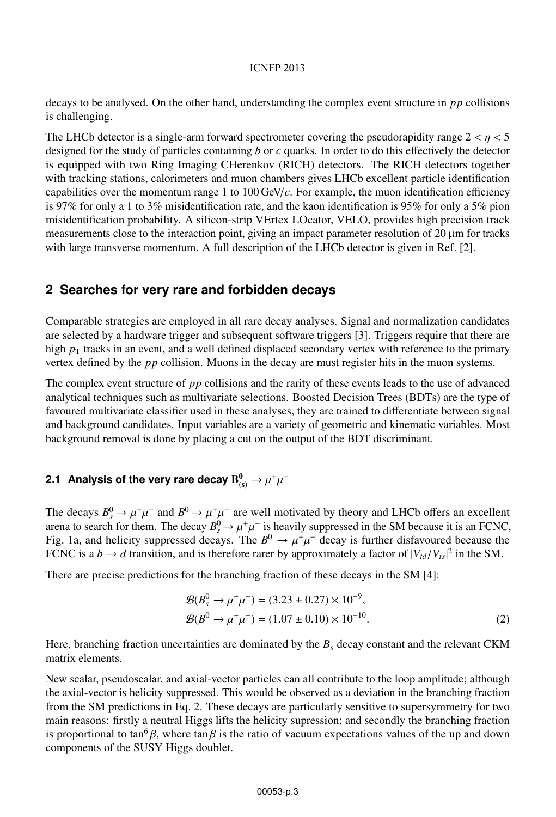decays to be analysed. On the other hand, understanding the complex event structure in *pp* collisions is challenging.

The LHCb detector is a single-arm forward spectrometer covering the pseudorapidity range  $2 < \eta < 5$ designed for the study of particles containing *b* or *c* quarks. In order to do this effectively the detector is equipped with two Ring Imaging CHerenkov (RICH) detectors. The RICH detectors together with tracking stations, calorimeters and muon chambers gives LHCb excellent particle identification capabilities over the momentum range 1 to  $100 \text{ GeV}/c$ . For example, the muon identification efficiency is 97% for only a 1 to 3% misidentification rate, and the kaon identification is 95% for only a 5% pion misidentification probability. A silicon-strip VErtex LOcator, VELO, provides high precision track measurements close to the interaction point, giving an impact parameter resolution of 20 μm for tracks with large transverse momentum. A full description of the LHCb detector is given in Ref. [2].

# **2 Searches for very rare and forbidden decays**

Comparable strategies are employed in all rare decay analyses. Signal and normalization candidates are selected by a hardware trigger and subsequent software triggers [3]. Triggers require that there are high  $p<sub>T</sub>$  tracks in an event, and a well defined displaced secondary vertex with reference to the primary vertex defined by the *pp* collision. Muons in the decay are must register hits in the muon systems.

The complex event structure of *pp* collisions and the rarity of these events leads to the use of advanced analytical techniques such as multivariate selections. Boosted Decision Trees (BDTs) are the type of favoured multivariate classifier used in these analyses, they are trained to differentiate between signal and background candidates. Input variables are a variety of geometric and kinematic variables. Most background removal is done by placing a cut on the output of the BDT discriminant.

# 2.1 Analysis of the very rare decay  $\mathbf{B}^0_\text{\tiny (S)} \to \mu^+\mu^-$

The decays  $B_s^0 \to \mu^+\mu^-$  and  $B^0 \to \mu^+\mu^-$  are well motivated by theory and LHCb offers an excellent arena to search for them. The decay  $B_s^0 \to \mu^+\mu^-$  is heavily suppressed in the SM because it is an FCNC, Fig. 1a, and helicity suppressed decays. The  $B^0 \to \mu^+ \mu^-$  decay is further disfavoured because the FCNC is a  $b \to d$  transition, and is therefore rarer by approximately a factor of  $|V_{td}/V_{ts}|^2$  in the SM.

There are precise predictions for the branching fraction of these decays in the SM [4]:

$$
\mathcal{B}(B_s^0 \to \mu^+ \mu^-) = (3.23 \pm 0.27) \times 10^{-9}, \n\mathcal{B}(B^0 \to \mu^+ \mu^-) = (1.07 \pm 0.10) \times 10^{-10}.
$$
\n(2)

Here, branching fraction uncertainties are dominated by the  $B<sub>s</sub>$  decay constant and the relevant CKM matrix elements.

New scalar, pseudoscalar, and axial-vector particles can all contribute to the loop amplitude; although the axial-vector is helicity suppressed. This would be observed as a deviation in the branching fraction from the SM predictions in Eq. 2. These decays are particularly sensitive to supersymmetry for two main reasons: firstly a neutral Higgs lifts the helicity supression; and secondly the branching fraction is proportional to tan<sup>6</sup> β, where tan β is the ratio of vacuum expectations values of the up and down components of the SUSY Higgs doublet.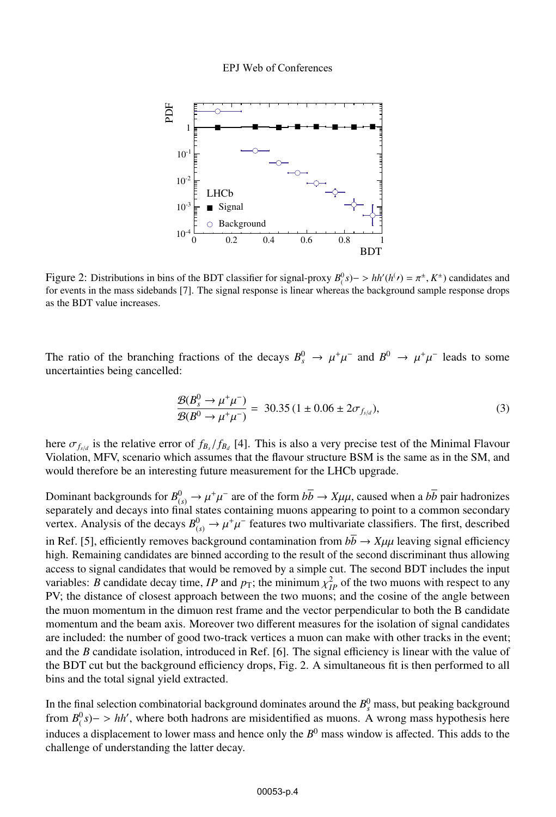

Figure 2: Distributions in bins of the BDT classifier for signal-proxy  $B_1^0(s)$   $\gt$  *hh'*( $h^j$ ) =  $\pi^{\pm}$ ,  $K^{\pm}$ ) candidates and for events in the mass sidebands [7]. The signal response is linear whereas the background sample response drops as the BDT value increases.

The ratio of the branching fractions of the decays  $B_s^0 \to \mu^+\mu^-$  and  $B^0 \to \mu^+\mu^-$  leads to some uncertainties being cancelled:

$$
\frac{\mathcal{B}(B_s^0 \to \mu^+ \mu^-)}{\mathcal{B}(B^0 \to \mu^+ \mu^-)} = 30.35 (1 \pm 0.06 \pm 2\sigma_{f_{s/d}}),
$$
\n(3)

here  $\sigma_{f_{sd}}$  is the relative error of  $f_{B_s}/f_{B_d}$  [4]. This is also a very precise test of the Minimal Flavour Violation, MFV, scenario which assumes that the flavour structure BSM is the same as in the SM, and would therefore be an interesting future measurement for the LHCb upgrade.

Dominant backgrounds for  $B^0_{(s)} \to \mu^+\mu^-$  are of the form  $b\bar{b} \to X\mu\mu$ , caused when a  $b\bar{b}$  pair hadronizes separately and decays into final states containing muons appearing to point to a common secondary vertex. Analysis of the decays  $B_{(s)}^0 \to \mu^+\mu^-$  features two multivariate classifiers. The first, described in Ref. [5], efficiently removes background contamination from  $b\bar{b} \rightarrow X\mu\mu$  leaving signal efficiency high. Remaining candidates are binned according to the result of the second discriminant thus allowing access to signal candidates that would be removed by a simple cut. The second BDT includes the input variables: *B* candidate decay time, *IP* and  $p_T$ ; the minimum  $\chi^2_{IP}$  of the two muons with respect to any PV; the distance of closest approach between the two muons; and the cosine of the angle between the muon momentum in the dimuon rest frame and the vector perpendicular to both the B candidate momentum and the beam axis. Moreover two different measures for the isolation of signal candidates are included: the number of good two-track vertices a muon can make with other tracks in the event; and the *B* candidate isolation, introduced in Ref. [6]. The signal efficiency is linear with the value of the BDT cut but the background efficiency drops, Fig. 2. A simultaneous fit is then performed to all bins and the total signal yield extracted.

In the final selection combinatorial background dominates around the  $B_s^0$  mass, but peaking background from  $B^0(s)$  > *hh'*, where both hadrons are misidentified as muons. A wrong mass hypothesis here induces a displacement to lower mass and hence only the  $B^0$  mass window is affected. This adds to the challenge of understanding the latter decay.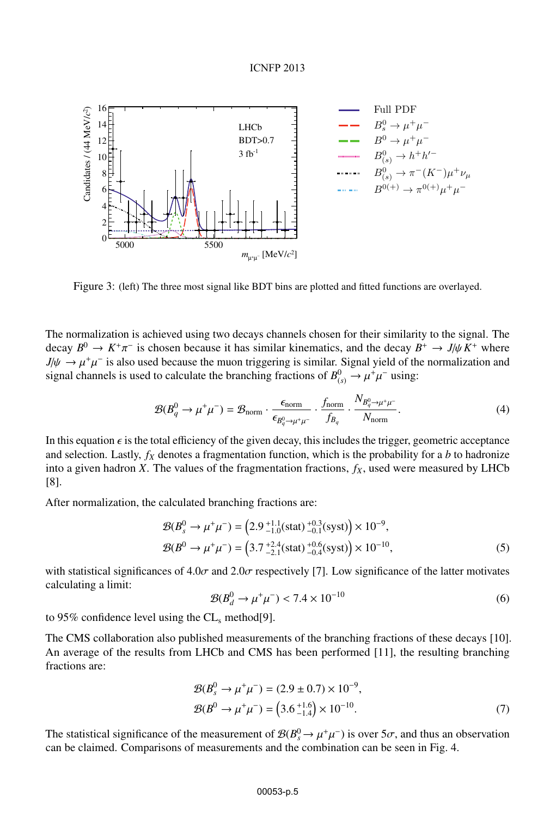

Figure 3: (left) The three most signal like BDT bins are plotted and fitted functions are overlayed.

The normalization is achieved using two decays channels chosen for their similarity to the signal. The decay  $B^0 \to K^+\pi^-$  is chosen because it has similar kinematics, and the decay  $B^+ \to J/\psi K^+$  where  $J/\psi \to \mu^+\mu^-$  is also used because the muon triggering is similar. Signal yield of the normalization and signal channels is used to calculate the branching fractions of  $B^0_{(s)} \to \mu^+\mu^-$  using:

$$
\mathcal{B}(B_q^0 \to \mu^+ \mu^-) = \mathcal{B}_{\text{norm}} \cdot \frac{\epsilon_{\text{norm}}}{\epsilon_{B_q^0 \to \mu^+ \mu^-}} \cdot \frac{f_{\text{norm}}}{f_{B_q}} \cdot \frac{N_{B_q^0 \to \mu^+ \mu^-}}{N_{\text{norm}}}.
$$
(4)

In this equation  $\epsilon$  is the total efficiency of the given decay, this includes the trigger, geometric acceptance and selection. Lastly,  $f_X$  denotes a fragmentation function, which is the probability for a *b* to hadronize into a given hadron *X*. The values of the fragmentation fractions,  $f_X$ , used were measured by LHCb [8].

After normalization, the calculated branching fractions are:

$$
\mathcal{B}(B_s^0 \to \mu^+ \mu^-) = \left(2.9^{+1.1}_{-1.0} \text{(stat)} \, \frac{^{+0.3}_{-0.1} \text{(syst)}}{^{0.0}_{-0.1} \text{(syst)}}\right) \times 10^{-9},
$$
\n
$$
\mathcal{B}(B^0 \to \mu^+ \mu^-) = \left(3.7^{+2.4}_{-2.1} \text{(stat)} \, \frac{^{+0.6}_{-0.4} \text{(syst)}}{^{0.0}_{-0.4} \text{(syst)}}\right) \times 10^{-10},\tag{5}
$$

with statistical significances of 4.0 $\sigma$  and 2.0 $\sigma$  respectively [7]. Low significance of the latter motivates calculating a limit:

$$
\mathcal{B}(B_d^0 \to \mu^+ \mu^-) < 7.4 \times 10^{-10} \tag{6}
$$

to 95% confidence level using the  $CL_s$  method[9].

The CMS collaboration also published measurements of the branching fractions of these decays [10]. An average of the results from LHCb and CMS has been performed [11], the resulting branching fractions are:

$$
\mathcal{B}(B_s^0 \to \mu^+ \mu^-) = (2.9 \pm 0.7) \times 10^{-9}, \n\mathcal{B}(B^0 \to \mu^+ \mu^-) = (3.6^{+1.6}_{-1.4}) \times 10^{-10}.
$$
\n(7)

The statistical significance of the measurement of  $\mathcal{B}(B_s^0 \to \mu^+\mu^-)$  is over 5 $\sigma$ , and thus an observation can be claimed. Comparisons of measurements and the combination can be seen in Fig. 4.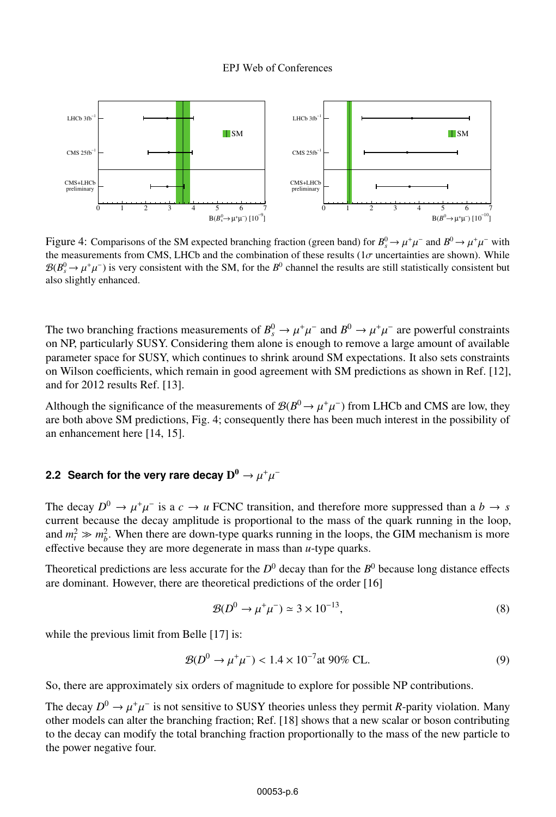

Figure 4: Comparisons of the SM expected branching fraction (green band) for  $B_s^0 \to \mu^+\mu^-$  and  $B^0 \to \mu^+\mu^-$  with the measurements from CMS, LHCb and the combination of these results ( $1\sigma$  uncertainties are shown). While  $B(B_s^0 \to \mu^+\mu^-)$  is very consistent with the SM, for the  $B^0$  channel the results are still statistically consistent but also slightly enhanced.

The two branching fractions measurements of  $B_s^0 \to \mu^+\mu^-$  and  $B^0 \to \mu^+\mu^-$  are powerful constraints on NP, particularly SUSY. Considering them alone is enough to remove a large amount of available parameter space for SUSY, which continues to shrink around SM expectations. It also sets constraints on Wilson coefficients, which remain in good agreement with SM predictions as shown in Ref. [12], and for 2012 results Ref. [13].

Although the significance of the measurements of  $\mathcal{B}(B^0 \to \mu^+\mu^-)$  from LHCb and CMS are low, they are both above SM predictions, Fig. 4; consequently there has been much interest in the possibility of an enhancement here [14, 15].

## **2.2 Search for the very rare decay**  $D^0 \rightarrow \mu^+ \mu^-$

The decay  $D^0 \rightarrow \mu^+\mu^-$  is a  $c \rightarrow u$  FCNC transition, and therefore more suppressed than a  $b \rightarrow s$ current because the decay amplitude is proportional to the mass of the quark running in the loop, and  $m_t^2 \gg m_b^2$ . When there are down-type quarks running in the loops, the GIM mechanism is more effective because they are more degenerate in mass than *u*-type quarks.

Theoretical predictions are less accurate for the  $D^0$  decay than for the  $B^0$  because long distance effects are dominant. However, there are theoretical predictions of the order [16]

$$
\mathcal{B}(D^0 \to \mu^+ \mu^-) \simeq 3 \times 10^{-13},\tag{8}
$$

while the previous limit from Belle [17] is:

$$
\mathcal{B}(D^0 \to \mu^+ \mu^-) < 1.4 \times 10^{-7} \text{at } 90\% \text{ CL.} \tag{9}
$$

So, there are approximately six orders of magnitude to explore for possible NP contributions.

The decay  $D^0 \to \mu^+\mu^-$  is not sensitive to SUSY theories unless they permit *R*-parity violation. Many other models can alter the branching fraction; Ref. [18] shows that a new scalar or boson contributing to the decay can modify the total branching fraction proportionally to the mass of the new particle to the power negative four.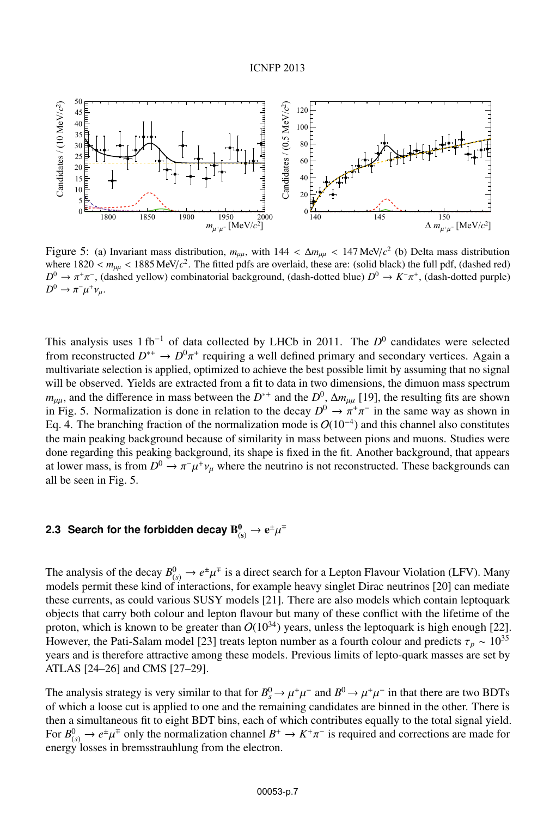

Figure 5: (a) Invariant mass distribution,  $m_{\mu\mu}$ , with  $144 < \Delta m_{\mu\mu} < 147$  MeV/ $c^2$  (b) Delta mass distribution where  $1820 < m_{\mu\mu} < 1885 \text{ MeV}/c^2$ . The fitted pdfs are overlaid, these are: (solid black) the full pdf, (dashed red) *D*<sup>0</sup> →  $\pi$ <sup>+</sup>π<sup>-</sup>, (dashed yellow) combinatorial background, (dash-dotted blue) *D*<sup>0</sup> → *K*<sup>−</sup>π<sup>+</sup>, (dash-dotted purple)  $D^0 \to \pi^- \mu^+ \nu_\mu$ .

This analysis uses 1 fb−<sup>1</sup> of data collected by LHCb in 2011. The *D*<sup>0</sup> candidates were selected from reconstructed  $D^{*+} \to D^0 \pi^+$  requiring a well defined primary and secondary vertices. Again a multivariate selection is applied, optimized to achieve the best possible limit by assuming that no signal will be observed. Yields are extracted from a fit to data in two dimensions, the dimuon mass spectrum *m*<sub>μμ</sub>, and the difference in mass between the  $D^{*+}$  and the  $D^0$ ,  $\Delta m_{\mu\mu}$  [19], the resulting fits are shown in Fig. 5. Normalization is done in relation to the decay  $D^0 \to \pi^+\pi^-$  in the same way as shown in Eq. 4. The branching fraction of the normalization mode is  $O(10^{-4})$  and this channel also constitutes the main peaking background because of similarity in mass between pions and muons. Studies were done regarding this peaking background, its shape is fixed in the fit. Another background, that appears at lower mass, is from  $D^0 \to \pi^- \mu^+ \nu_\mu$  where the neutrino is not reconstructed. These backgrounds can all be seen in Fig. 5.

# 2.3 Search for the forbidden decay  $\mathrm{B_{(s)}^0} \rightarrow \mathrm{e}^\pm \mu^\mp$

The analysis of the decay  $B^0_{(s)} \to e^{\pm} \mu^{\mp}$  is a direct search for a Lepton Flavour Violation (LFV). Many models permit these kind of interactions, for example heavy singlet Dirac neutrinos [20] can mediate these currents, as could various SUSY models [21]. There are also models which contain leptoquark objects that carry both colour and lepton flavour but many of these conflict with the lifetime of the proton, which is known to be greater than  $O(10^{34})$  years, unless the leptoquark is high enough [22]. However, the Pati-Salam model [23] treats lepton number as a fourth colour and predicts  $\tau_p \sim 10^{35}$ years and is therefore attractive among these models. Previous limits of lepto-quark masses are set by ATLAS [24–26] and CMS [27–29].

The analysis strategy is very similar to that for  $B_s^0 \to \mu^+\mu^-$  and  $B^0 \to \mu^+\mu^-$  in that there are two BDTs of which a loose cut is applied to one and the remaining candidates are binned in the other. There is then a simultaneous fit to eight BDT bins, each of which contributes equally to the total signal yield. For  $B^0_{(s)} \to e^{\pm} \mu^{\mp}$  only the normalization channel  $B^+ \to K^+ \pi^-$  is required and corrections are made for energy losses in bremsstrauhlung from the electron.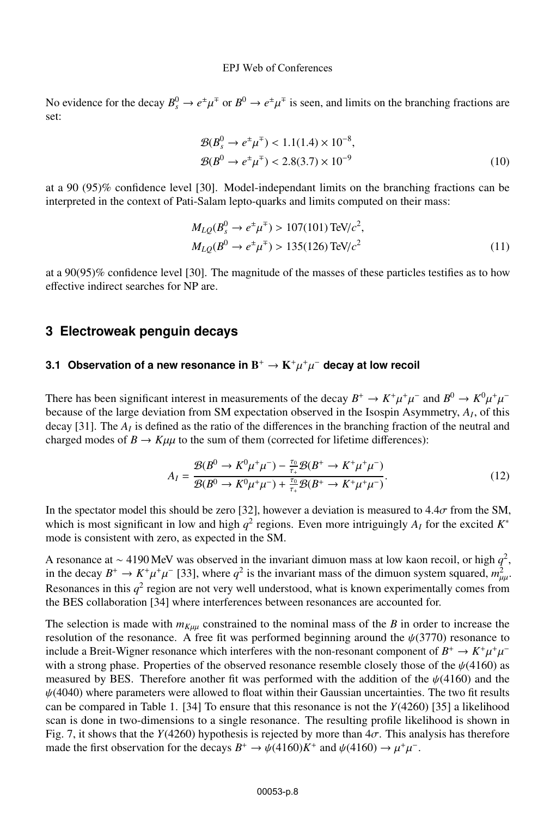#### EPJ Web of Conferences

No evidence for the decay  $B_s^0 \to e^{\pm} \mu^{\mp}$  or  $B^0 \to e^{\pm} \mu^{\mp}$  is seen, and limits on the branching fractions are set:

$$
\mathcal{B}(B_s^0 \to e^{\pm} \mu^{\mp}) < 1.1(1.4) \times 10^{-8},
$$
\n
$$
\mathcal{B}(B^0 \to e^{\pm} \mu^{\mp}) < 2.8(3.7) \times 10^{-9} \tag{10}
$$

at a 90 (95)% confidence level [30]. Model-independant limits on the branching fractions can be interpreted in the context of Pati-Salam lepto-quarks and limits computed on their mass:

$$
M_{LQ}(B_s^0 \to e^{\pm} \mu^{\mp}) > 107(101) \text{ TeV}/c^2,
$$
  
\n
$$
M_{LQ}(B^0 \to e^{\pm} \mu^{\mp}) > 135(126) \text{ TeV}/c^2
$$
\n(11)

at a 90(95)% confidence level [30]. The magnitude of the masses of these particles testifies as to how effective indirect searches for NP are.

## **3 Electroweak penguin decays**

### **3.1 Observation of a new resonance in** B<sup>+</sup> → K<sup>+</sup>μ<sup>+</sup>μ<sup>−</sup> **decay at low recoil**

There has been significant interest in measurements of the decay  $B^+ \to K^+\mu^+\mu^-$  and  $B^0 \to K^0\mu^+\mu^$ because of the large deviation from SM expectation observed in the Isospin Asymmetry, *AI*, of this decay [31]. The *AI* is defined as the ratio of the differences in the branching fraction of the neutral and charged modes of  $B \to K\mu\mu$  to the sum of them (corrected for lifetime differences):

$$
A_{I} = \frac{\mathcal{B}(B^{0} \to K^{0}\mu^{+}\mu^{-}) - \frac{\tau_{0}}{\tau_{+}}\mathcal{B}(B^{+} \to K^{+}\mu^{+}\mu^{-})}{\mathcal{B}(B^{0} \to K^{0}\mu^{+}\mu^{-}) + \frac{\tau_{0}}{\tau_{+}}\mathcal{B}(B^{+} \to K^{+}\mu^{+}\mu^{-})}.
$$
\n(12)

In the spectator model this should be zero [32], however a deviation is measured to  $4.4\sigma$  from the SM, which is most significant in low and high  $q^2$  regions. Even more intriguingly  $A_I$  for the excited  $K^*$ mode is consistent with zero, as expected in the SM.

A resonance at <sup>∼</sup> <sup>4190</sup> MeV was observed in the invariant dimuon mass at low kaon recoil, or high *<sup>q</sup>*2, in the decay  $B^+ \to K^+ \mu^+ \mu^-$  [33], where  $q^2$  is the invariant mass of the dimuon system squared,  $m_{\mu\mu}^2$ . Resonances in this  $q^2$  region are not very well understood, what is known experimentally comes from the BES collaboration [34] where interferences between resonances are accounted for.

The selection is made with  $m_{K\mu\mu}$  constrained to the nominal mass of the *B* in order to increase the resolution of the resonance. A free fit was performed beginning around the  $\psi(3770)$  resonance to include a Breit-Wigner resonance which interferes with the non-resonant component of  $B^+ \to K^+\mu^+\mu^$ with a strong phase. Properties of the observed resonance resemble closely those of the  $\psi$ (4160) as measured by BES. Therefore another fit was performed with the addition of the  $\psi$ (4160) and the  $\psi(4040)$  where parameters were allowed to float within their Gaussian uncertainties. The two fit results can be compared in Table 1. [34] To ensure that this resonance is not the *Y*(4260) [35] a likelihood scan is done in two-dimensions to a single resonance. The resulting profile likelihood is shown in Fig. 7, it shows that the *Y*(4260) hypothesis is rejected by more than  $4\sigma$ . This analysis has therefore made the first observation for the decays  $B^+ \to \psi(4160)K^+$  and  $\psi(4160) \to \mu^+\mu^-$ .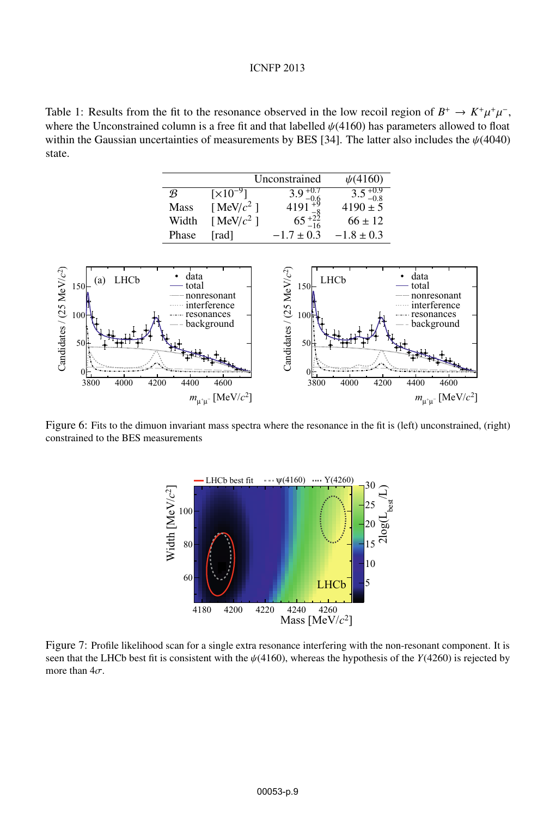Table 1: Results from the fit to the resonance observed in the low recoil region of  $B^+ \to K^+ \mu^+ \mu^-$ , where the Unconstrained column is a free fit and that labelled  $\psi(4160)$  has parameters allowed to float within the Gaussian uncertainties of measurements by BES [34]. The latter also includes the  $\psi$ (4040) state.

|               |                               | Unconstrained       | $\psi(4160)$        |
|---------------|-------------------------------|---------------------|---------------------|
| $\mathcal{R}$ | $\left[\times 10^{-9}\right]$ | $3.9_{-0.6}^{+0.7}$ | $3.5^{+0.9}_{-0.8}$ |
| <b>Mass</b>   | [MeV/ $c^2$ ]                 | 4191                | $4190 \pm 5$        |
| Width         | [MeV/ $c^2$ ]                 | $65^{+22}_{-16}$    | $66 \pm 12$         |
| Phase         | [rad]                         | $-1.7 \pm 0.3$      | $-1.8 \pm 0.3$      |



Figure 6: Fits to the dimuon invariant mass spectra where the resonance in the fit is (left) unconstrained, (right) constrained to the BES measurements



Figure 7: Profile likelihood scan for a single extra resonance interfering with the non-resonant component. It is seen that the LHCb best fit is consistent with the  $\psi$ (4160), whereas the hypothesis of the *Y*(4260) is rejected by more than  $4\sigma$ .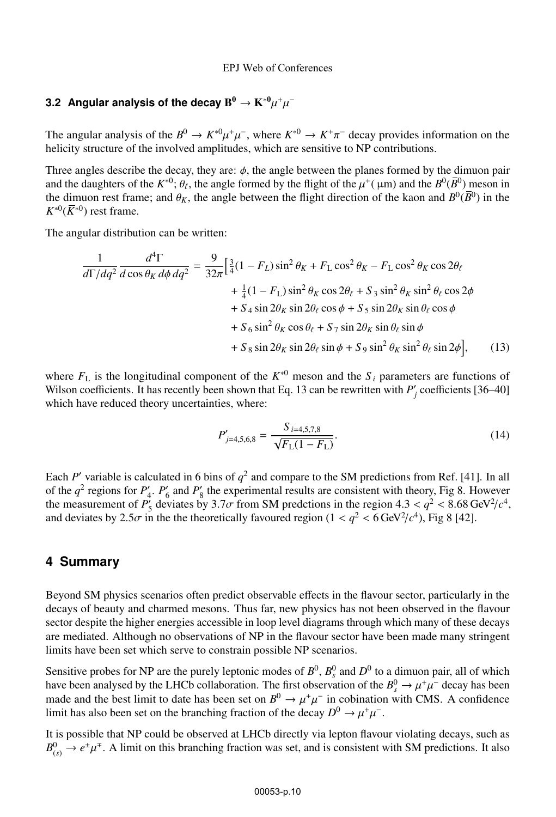# **3.2 Angular analysis of the decay**  $B^0 \to K^{*0} \mu^+ \mu^-$

The angular analysis of the  $B^0 \to K^{*0} \mu^+ \mu^-$ , where  $K^{*0} \to K^+ \pi^-$  decay provides information on the helicity structure of the involved amplitudes, which are sensitive to NP contributions.

Three angles describe the decay, they are:  $\phi$ , the angle between the planes formed by the dimuon pair and the daughters of the  $K^{*0}$ ;  $\theta_f$ , the angle formed by the flight of the  $\mu^+$ ( $\mu$ m) and the  $B^0(\overline{B}^0)$  meson in the dimuon rest frame; and  $\theta_K$ , the angle between the flight direction of the kaon and  $B^0(\bar{B}^0)$  in the  $K^{*0}(\overline{K}^{*0})$  rest frame.

The angular distribution can be written:

$$
\frac{1}{d\Gamma/dq^2} \frac{d^4\Gamma}{d\cos\theta_K d\phi dq^2} = \frac{9}{32\pi} \Big[ \frac{3}{4} (1 - F_L) \sin^2\theta_K + F_L \cos^2\theta_K - F_L \cos^2\theta_K \cos 2\theta_\ell \n+ \frac{1}{4} (1 - F_L) \sin^2\theta_K \cos 2\theta_\ell + S_3 \sin^2\theta_K \sin^2\theta_\ell \cos 2\phi \n+ S_4 \sin 2\theta_K \sin 2\theta_\ell \cos \phi + S_5 \sin 2\theta_K \sin \theta_\ell \cos \phi \n+ S_6 \sin^2\theta_K \cos \theta_\ell + S_7 \sin 2\theta_K \sin \theta_\ell \sin \phi \n+ S_8 \sin 2\theta_K \sin 2\theta_\ell \sin \phi + S_9 \sin^2\theta_K \sin^2\theta_\ell \sin 2\phi \Big], \quad (13)
$$

where  $F_L$  is the longitudinal component of the  $K^{*0}$  meson and the  $S_i$  parameters are functions of Wilson coefficients. It has recently been shown that Eq. 13 can be rewritten with  $P'_i$  coefficients [36–40] which have reduced theory uncertainties, where:

$$
P'_{j=4,5,6,8} = \frac{S_{i=4,5,7,8}}{\sqrt{F_{\rm L}(1 - F_{\rm L})}}.\tag{14}
$$

Each *P*' variable is calculated in 6 bins of  $q^2$  and compare to the SM predictions from Ref. [41]. In all of the  $q^2$  regions for  $P'_4$ .  $P'_6$  and  $P'_8$  the experimental results are consistent with theory, Fig 8. However the measurement of  $P_5^r$  deviates by 3.7 $\sigma$  from SM predctions in the region 4.3 <  $q^2$  < 8.68 GeV<sup>2</sup>/ $c^4$ , and deviates by 2.5 $\sigma$  in the the theoretically favoured region (1 <  $q^2$  < 6 GeV<sup>2</sup>/ $c^4$ ), Fig 8 [42].

### **4 Summary**

Beyond SM physics scenarios often predict observable effects in the flavour sector, particularly in the decays of beauty and charmed mesons. Thus far, new physics has not been observed in the flavour sector despite the higher energies accessible in loop level diagrams through which many of these decays are mediated. Although no observations of NP in the flavour sector have been made many stringent limits have been set which serve to constrain possible NP scenarios.

Sensitive probes for NP are the purely leptonic modes of  $B^0$ ,  $B_s^0$  and  $D^0$  to a dimuon pair, all of which have been analysed by the LHCb collaboration. The first observation of the  $B_s^0 \to \mu^+\mu^-$  decay has been made and the best limit to date has been set on  $B^0 \to \mu^+\mu^-$  in cobination with CMS. A confidence limit has also been set on the branching fraction of the decay  $D^0 \to \mu^+\mu^-$ .

It is possible that NP could be observed at LHCb directly via lepton flavour violating decays, such as  $B_{(s)}^0 \to e^{\pm} \mu^{\mp}$ . A limit on this branching fraction was set, and is consistent with SM predictions. It also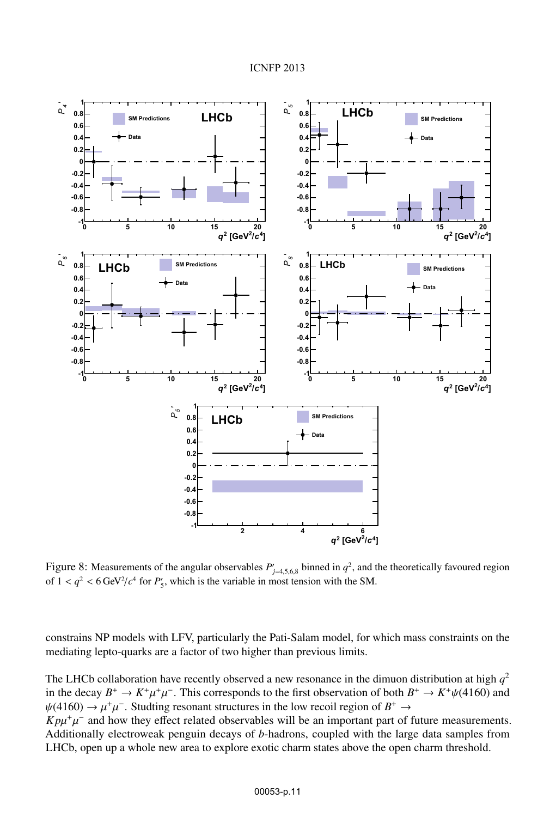

Figure 8: Measurements of the angular observables  $P'_{j=4,5,6,8}$  binned in  $q^2$ , and the theoretically favoured region of  $1 < q^2 < 6 \text{ GeV}^2/c^4$  for  $P'_5$ , which is the variable in most tension with the SM.

constrains NP models with LFV, particularly the Pati-Salam model, for which mass constraints on the mediating lepto-quarks are a factor of two higher than previous limits.

The LHCb collaboration have recently observed a new resonance in the dimuon distribution at high  $q^2$ in the decay  $B^+ \to K^+\mu^+\mu^-$ . This corresponds to the first observation of both  $B^+ \to K^+\psi(4160)$  and  $\psi(4160) \rightarrow \mu^+\mu^-$ . Studting resonant structures in the low recoil region of  $B^+ \rightarrow$  $K p\mu^+\mu^-$  and how they effect related observables will be an important part of future measurements. Additionally electroweak penguin decays of *b*-hadrons, coupled with the large data samples from

LHCb, open up a whole new area to explore exotic charm states above the open charm threshold.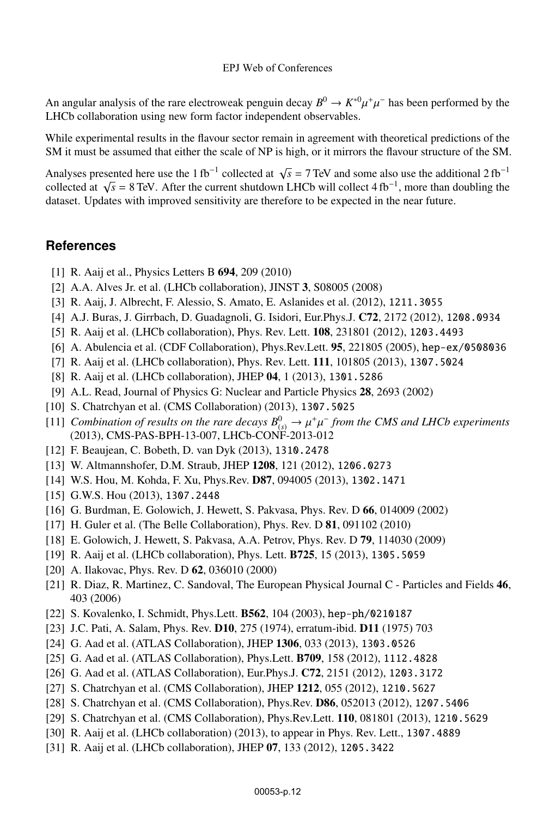### EPJ Web of Conferences

An angular analysis of the rare electroweak penguin decay  $B^0 \to K^{*0} \mu^+ \mu^-$  has been performed by the LHCb collaboration using new form factor independent observables.

While experimental results in the flavour sector remain in agreement with theoretical predictions of the SM it must be assumed that either the scale of NP is high, or it mirrors the flavour structure of the SM.

Analyses presented here use the 1 fb<sup>-1</sup> collected at  $\sqrt{s}$  = 7 TeV and some also use the additional 2 fb<sup>-1</sup> collected at  $\sqrt{s}$  = 8 TeV. After the current shutdown LHCb will collect 4 fb<sup>-1</sup>, more than doubling the dataset. Updates with improved sensitivity are therefore to be expected in the near future.

## **References**

- [1] R. Aaij et al., Physics Letters B 694, 209 (2010)
- [2] A.A. Alves Jr. et al. (LHCb collaboration), JINST 3, S08005 (2008)
- [3] R. Aaij, J. Albrecht, F. Alessio, S. Amato, E. Aslanides et al. (2012), 1211.3055
- [4] A.J. Buras, J. Girrbach, D. Guadagnoli, G. Isidori, Eur.Phys.J. C72, 2172 (2012), 1208.0934
- [5] R. Aaij et al. (LHCb collaboration), Phys. Rev. Lett. 108, 231801 (2012), 1203.4493
- [6] A. Abulencia et al. (CDF Collaboration), Phys.Rev.Lett. 95, 221805 (2005), hep-ex/0508036
- [7] R. Aaij et al. (LHCb collaboration), Phys. Rev. Lett. 111, 101805 (2013), 1307.5024
- [8] R. Aaij et al. (LHCb collaboration), JHEP 04, 1 (2013), 1301.5286
- [9] A.L. Read, Journal of Physics G: Nuclear and Particle Physics 28, 2693 (2002)
- [10] S. Chatrchyan et al. (CMS Collaboration) (2013), 1307.5025
- [11] *Combination of results on the rare decays*  $B^0_{(s)} \to \mu^+\mu^-$  *from the CMS and LHCb experiments* (2013), CMS-PAS-BPH-13-007, LHCb-CONF-2013-012
- [12] F. Beaujean, C. Bobeth, D. van Dyk (2013), 1310.2478
- [13] W. Altmannshofer, D.M. Straub, JHEP 1208, 121 (2012), 1206.0273
- [14] W.S. Hou, M. Kohda, F. Xu, Phys.Rev. D87, 094005 (2013), 1302.1471
- [15] G.W.S. Hou (2013), 1307.2448
- [16] G. Burdman, E. Golowich, J. Hewett, S. Pakvasa, Phys. Rev. D 66, 014009 (2002)
- [17] H. Guler et al. (The Belle Collaboration), Phys. Rev. D **81**, 091102 (2010)
- [18] E. Golowich, J. Hewett, S. Pakvasa, A.A. Petrov, Phys. Rev. D 79, 114030 (2009)
- [19] R. Aaij et al. (LHCb collaboration), Phys. Lett. B725, 15 (2013), 1305.5059
- [20] A. Ilakovac, Phys. Rev. D **62**, 036010 (2000)
- [21] R. Diaz, R. Martinez, C. Sandoval, The European Physical JournalC-Particles and Fields 46, 403 (2006)
- [22] S. Kovalenko, I. Schmidt, Phys.Lett. B562, 104 (2003), hep-ph/0210187
- [23] J.C. Pati, A. Salam, Phys. Rev. D10, 275 (1974), erratum-ibid. D11 (1975) 703
- [24] G. Aad et al. (ATLAS Collaboration), JHEP 1306, 033 (2013), 1303.0526
- [25] G. Aad et al. (ATLAS Collaboration), Phys.Lett. B709, 158 (2012), 1112.4828
- [26] G. Aad et al. (ATLAS Collaboration), Eur.Phys.J. C72, 2151 (2012), 1203.3172
- [27] S. Chatrchyan et al. (CMS Collaboration), JHEP 1212, 055 (2012), 1210.5627
- [28] S. Chatrchyan et al. (CMS Collaboration), Phys.Rev. D86, 052013 (2012), 1207.5406
- [29] S. Chatrchyan et al. (CMS Collaboration), Phys.Rev.Lett. 110, 081801 (2013), 1210.5629
- [30] R. Aaij et al. (LHCb collaboration) (2013), to appear in Phys. Rev. Lett., 1307.4889
- [31] R. Aaij et al. (LHCb collaboration), JHEP 07, 133 (2012), 1205.3422